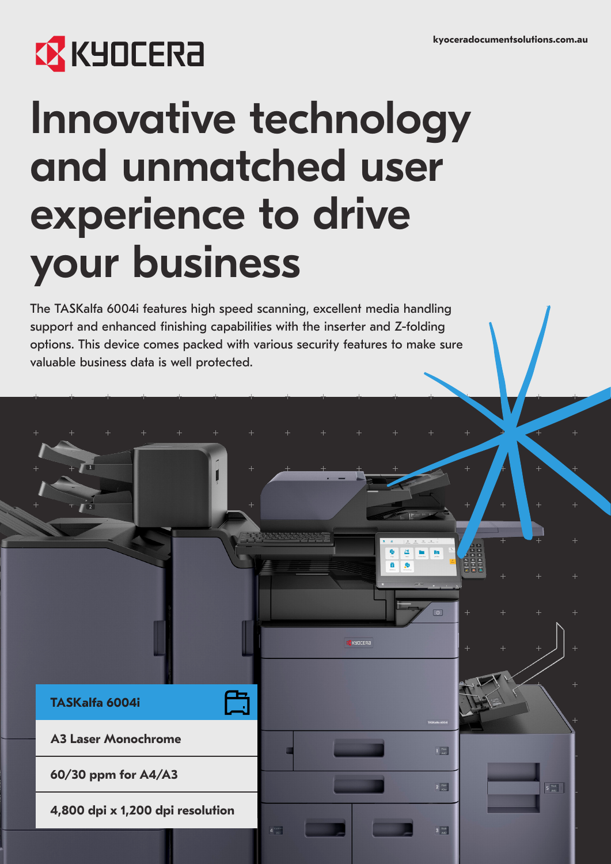# **EX KYOCERA**

## Innovative technology and unmatched user experience to drive your business

The TASKalfa 6004i features high speed scanning, excellent media handling support and enhanced finishing capabilities with the inserter and Z-folding options. This device comes packed with various security features to make sure valuable business data is well protected.



 $\overline{1}$ 

 $\mathbf{h}$   $\mathbf{h}$